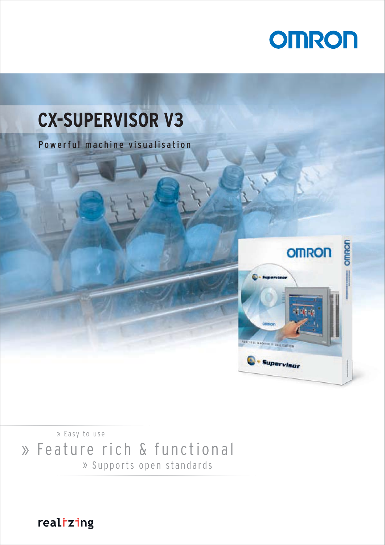



» Feature rich & functional  $\times$  Easy to use » Supports open standards

realizing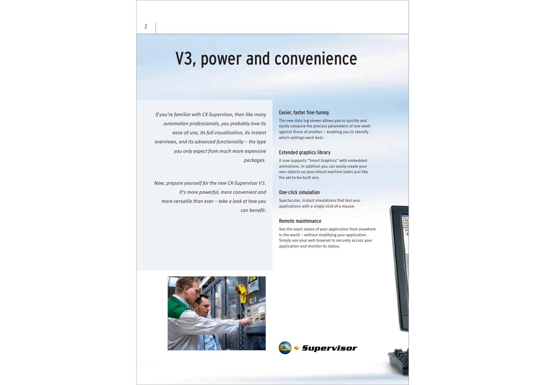# V3, power and convenience

*If you're familiar with CX-Supervisor, then like many automation professionals, you probably love its ease-of-use, its full visualisation, its instant overviews, and its advanced functionality – the type you only expect from much more expensive packages.* 

*Now, prepare yourself for the new CX-Supervisor V3. It's more powerful, more convenient and more versatile than ever – take a look at how you can benefit:*

### Easier, faster fine-tuning

The new data log viewer allows you to quickly and easily compare the process parameters of one week against those of another – enabling you to identify which settings work best.

### Extended graphics library

It now supports "Smart Graphics" with embedded animations. In addition you can easily create your own objects so your virtual machine looks just like the yet-to-be-built one.

### One-click simulation

Spectacular, instant simulations that test your applications with a single click of a mouse.

### Remote maintenance

See the exact status of your application from anywhere in the world – without modifying your application. Simply use your web browser to securely access your application and monitor its status.



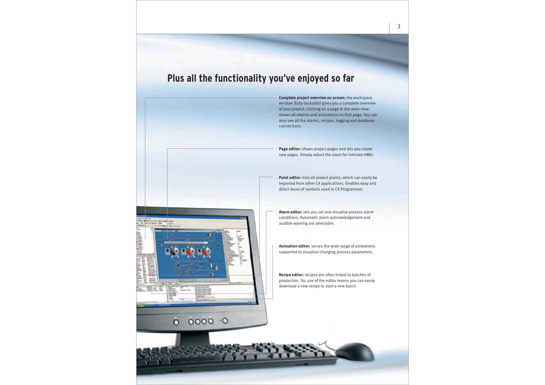# Plus all the functionality you've enjoyed so far



**Complete project overview on screen:** the workspace window (fully dockable) gives you a complete overview of your project. Clicking on a page in the main view shows all objects and animations on that page. You can also see all the alarms, recipes, logging and database connections.

**Page editor:** shows project pages and lets you create new pages. Simply adjust the zoom for intricate HMIs.

**Point editor:** lists all project points, which can easily be imported from other CX applications. Enables easy and direct reuse of symbols used in CX-Programmer.

**Alarm editor:** lets you set and visualise process alarm conditions. Automatic alarm acknowledgement and audible warning are selectable.

**Animation editor:** serves the wide range of animations supported to visualise changing process parameters.

**Recipe editor:** recipes are often linked to batches of production. So, use of the editor means you can easily download a new recipe to start a new batch.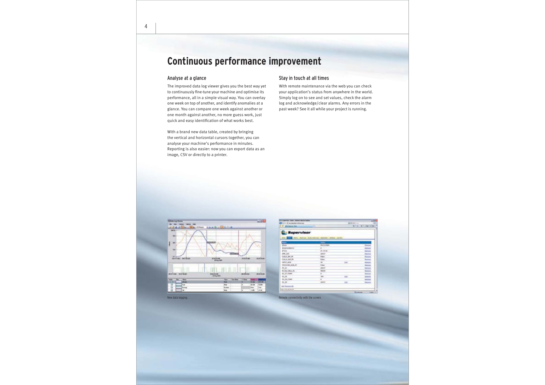# Continuous performance improvement

### Analyse at a glance

The improved data log viewer gives you the best way yet to continuously fine-tune your machine and optimise its performance, all in a simple visual way. You can overlay one week on top of another, and identify anomalies at a glance. You can compare one week against another or one month against another, no more guess work, just quick and easy identification of what works best.

With a brand new data table, created by bringing the vertical and horizontal cursors together, you can analyse your machine's performance in minutes. Reporting is also easier: now you can export data as an image, CSV or directly to a printer.

### Stay in touch at all times

With remote maintenance via the web you can check your application's status from anywhere in the world. Simply log on to see and set values, check the alarm log and acknowledge/clear alarms. Any errors in the past week? See it all while your project is running.



| <b>QUIP is no senten retroit on</b><br>2 P. Archanson Res. |                                                    | $-10$<br><b>RAIL</b><br>SHIEL BIFLINGTOWN |                               |  |
|------------------------------------------------------------|----------------------------------------------------|-------------------------------------------|-------------------------------|--|
| <b>Supervisor</b>                                          |                                                    |                                           |                               |  |
|                                                            | at first stated lacked<br><b>Contract Local Ad</b> |                                           |                               |  |
| $\frac{1}{100}$<br>w                                       | <b>IR/1L/34HF</b>                                  |                                           | <b><i><u>Research</u></i></b> |  |
| <b>Engineerians</b>                                        | <b>COLLECTION</b>                                  |                                           |                               |  |
| place.                                                     | <b>B1 78 76</b>                                    |                                           | <b>turned</b><br>Behavio      |  |
| 4081,239                                                   | <b>ARGET</b>                                       |                                           | <b>Newport</b>                |  |
| 0314,89.99                                                 | Folio                                              |                                           | <b>Server</b>                 |  |
| <b>DELA 348.78</b>                                         |                                                    |                                           | <b>Execute</b>                |  |
| can't size .                                               |                                                    | <b>REE</b>                                | <b>TESTI</b><br>m             |  |
| <b>FEEDLINE ROBLER</b>                                     | ĩ                                                  |                                           |                               |  |
| $n_{\rm eff}$                                              | <b>SPEET</b>                                       |                                           | <b>Tomato</b>                 |  |
| 9. Act. Box, 21.                                           | <b>THEF</b>                                        |                                           |                               |  |
| 49.27.7088                                                 | K.                                                 |                                           | H                             |  |
| 16, 16                                                     | in air                                             | <b>kat</b>                                |                               |  |
| To: 29, 1988                                               |                                                    |                                           | <b><i><u>SARAH</u></i></b>    |  |
| 98.28                                                      | <b>Jack</b>                                        | m                                         | <b>Salesman</b>               |  |
| Art formula ME                                             |                                                    |                                           |                               |  |
| <b>Carl Training Section</b>                               |                                                    |                                           |                               |  |
|                                                            |                                                    |                                           | <b>Lease</b> of               |  |

New data logging. The screen is a structure of  $\mathbb{R}^k$  in the screen in the screen in the screen.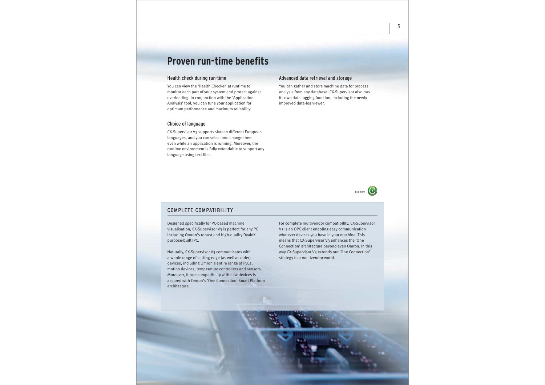# **Proven run-time benefits**

### Health check during run-time

You can view the 'Health Checker' at runtime to monitor each part of your system and protect against overloading. In conjunction with the 'Application Analysis' tool, you can tune your application for optimum performance and maximum reliability.

### Choice of language

CX-Supervisor V3 supports sixteen different European languages, and you can select and change them even while an application is running. Moreover, the runtime environment is fully extendable to support any language using text files.

### Advanced data retrieval and storage

You can gather and store machine data for process analysis from any database. CX-Supervisor also has its own data logging function, including the newly improved data-log viewer.



### COMPLETE COMPATIBILITY

Designed specifically for PC-based machine visualisation, CX-Supervisor V3 is perfect for any PC including Omron's robust and high-quality DyaloX purpose-built IPC.

Naturally, CX-Supervisor V3 communicates with a whole range of cutting-edge (as well as older) devices, including Omron's entire range of PLCs, motion devices, temperature controllers and sensors. Moreover, future compatibility with new devices is assured with Omron's 'One Connection' Smart Platform architecture.

For complete multivendor compatibility, CX-Supervisor V3 is an OPC client enabling easy communication whatever devices you have in your machine. This means that CX-Supervisor V3 enhances the 'One Connection' architecture beyond even Omron. In this way CX-Supervisor V3 extends our 'One Connection' strategy to a multivendor world.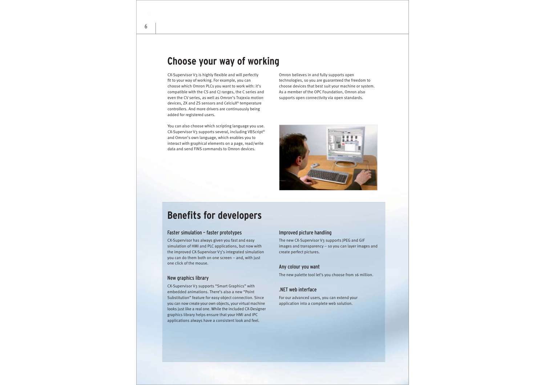## Choose your way of working

CX-Supervisor V3 is highly flexible and will perfectly fit to your way of working. For example, you can choose which Omron PLCs you want to work with: it's compatible with the CS and CJ ranges, the C series and even the CV series, as well as Omron's Trajexia motion devices, ZX and ZS sensors and CelciuX° temperature controllers. And more drivers are continuously being added for registered users.

You can also choose which scripting language you use. CX-Supervisor V3 supports several, including VBScript® and Omron's own language, which enables you to interact with graphical elements on a page, read/write data and send FINS commands to Omron devices.

Omron believes in and fully supports open technologies, so you are guaranteed the freedom to choose devices that best suit your machine or system. As a member of the OPC Foundation, Omron also supports open connectivity via open standards.



## **Benefits for developers**

### Faster simulation - faster prototypes

CX-Supervisor has always given you fast and easy simulation of HMI and PLC applications, but now with the improved CX-Supervisor V3's integrated simulation you can do them both on one screen – and, with just one click of the mouse.

### New graphics library

CX-Supervisor V3 supports "Smart Graphics" with embedded animations. There's also a new "Point Substitution" feature for easy object connection. Since you can now create your own objects, your virtual machine looks just like a real one. While the included CX-Designer graphics library helps ensure that your HMI and IPC applications always have a consistent look and feel.

### Improved picture handling

The new CX-Supervisor V3 supports JPEG and GIF images and transparency – so you can layer images and create perfect pictures.

### Any colour you want

The new palette tool let's you choose from 16 million.

### $\Lambda$  NET web interface

For our advanced users, you can extend your application into a complete web solution.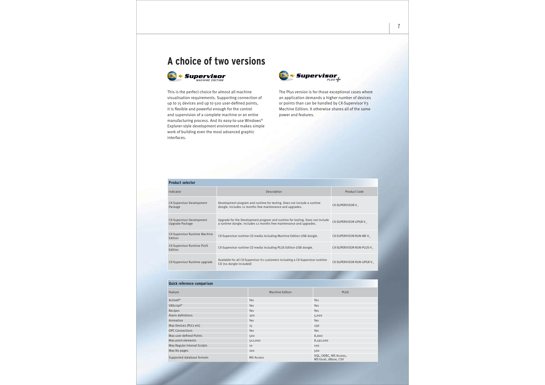# **A** choice of two versions



This is the perfect choice for almost all machine visualisation requirements. Supporting connection of up to 15 devices and up to 500 user-defined points, it is flexible and powerful enough for the control and supervision of a complete machine or an entire manufacturing process. And its easy-to-use Windows® Explorer-style development environment makes simple work of building even the most advanced graphic interfaces.



The Plus version is for those exceptional cases where an application demands a higher number of devices or points than can be handled by CX-Supervisor V3 Machine Edition. It otherwise shares all of the same power and features.

| <b>Product selector</b>                             |                                                                                                                                                      |                          |  |  |
|-----------------------------------------------------|------------------------------------------------------------------------------------------------------------------------------------------------------|--------------------------|--|--|
| Indicator                                           | Description                                                                                                                                          | Product Code             |  |  |
| <b>CX-Supervisor Development</b><br>Package         | Development program and runtime for testing. Does not include a runtime<br>dongle. Includes 12 months free maintenance and upgrades.                 | CX-SUPERVISOR-V          |  |  |
| <b>CX-Supervisor Development</b><br>Upgrade Package | Upgrade for the Development program and runtime for testing. Does not include<br>a runtime dongle. Includes 12 months free maintenance and upgrades. | CX-SUPERVISOR-UPGR-V     |  |  |
| <b>CX-Supervisor Runtime Machine</b><br>Edition     | CX-Supervisor runtime CD media including Machine Edition USB dongle.                                                                                 | CX-SUPERVISOR-RUN-ME-V   |  |  |
| <b>CX-Supervisor Runtime PLUS</b><br>Edition        | CX-Supervisor runtime CD media including PLUS Edition USB dongle.                                                                                    | CX-SUPERVISOR-RUN-PLUS-V |  |  |
| CX-Supervisor Runtime upgrade                       | Available for all CX-Supervisor V2 customers including a CX-Supervisor runtime<br>CD (no dongle included)                                            | CX-SUPERVISOR-RUN-UPGR-V |  |  |

#### **Quick reference comparison**

| Feature                      | <b>Machine Edition</b> | <b>PLUS</b>                                   |
|------------------------------|------------------------|-----------------------------------------------|
| ActiveX <sup>®</sup>         | Yes                    | Yes                                           |
| VBScript®                    | Yes                    | Yes                                           |
| Recipes                      | <b>Yes</b>             | Yes                                           |
| Alarm definitions            | 300                    | 5,000                                         |
| Animation                    | <b>Yes</b>             | <b>Yes</b>                                    |
| Max Devices (PLCs etc)       | 15                     | 256                                           |
| <b>OPC Connections</b>       | <b>Yes</b>             | <b>Yes</b>                                    |
| Max user defined Points      | 500                    | 8,000                                         |
| Max point elements           | 512,000                | 8,192,000                                     |
| Max Regular Interval Scripts | 10                     | 100                                           |
| Max No pages                 | 100                    | 500                                           |
| Supported database formats   | <b>MS Access</b>       | SQL, ODBC, MS Access,<br>MS Excel, dBase, CSV |